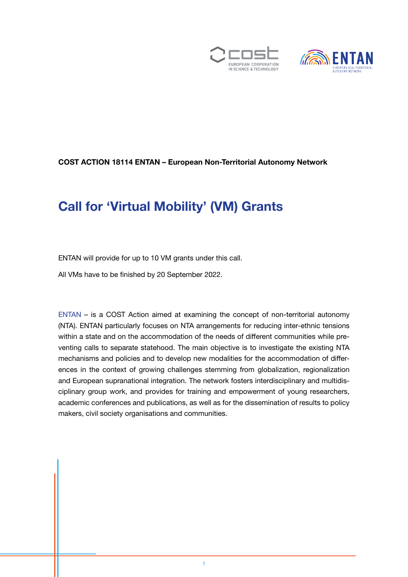



#### COST ACTION 18114 ENTAN – European Non-Territorial Autonomy Network

## Call for 'Virtual Mobility' (VM) Grants

ENTAN will provide for up to 10 VM grants under this call.

All VMs have to be finished by 20 September 2022.

[ENTAN](https://entan.org/) – is a COST Action aimed at examining the concept of non-territorial autonomy (NTA). ENTAN particularly focuses on NTA arrangements for reducing inter-ethnic tensions within a state and on the accommodation of the needs of different communities while preventing calls to separate statehood. The main objective is to investigate the existing NTA mechanisms and policies and to develop new modalities for the accommodation of differences in the context of growing challenges stemming from globalization, regionalization and European supranational integration. The network fosters interdisciplinary and multidisciplinary group work, and provides for training and empowerment of young researchers, academic conferences and publications, as well as for the dissemination of results to policy makers, civil society organisations and communities.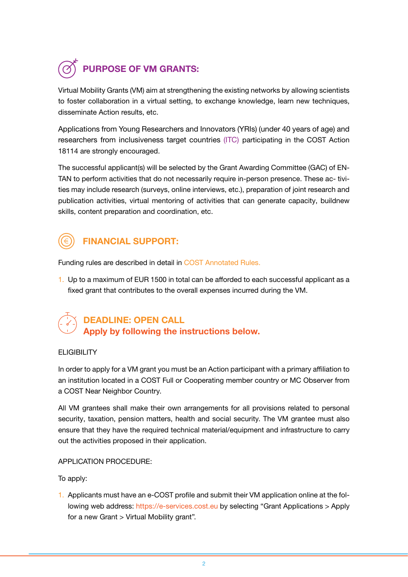# PURPOSE OF VM GRANTS:

Virtual Mobility Grants (VM) aim at strengthening the existing networks by allowing scientists to foster collaboration in a virtual setting, to exchange knowledge, learn new techniques, disseminate Action results, etc.

Applications from Young Researchers and Innovators (YRIs) (under 40 years of age) and researchers from inclusiveness target countries [\(ITC\)](https://www.cost.eu/about/cost-strategy/excellence-and-inclusiveness/) participating in the COST Action 18114 are strongly encouraged.

The successful applicant(s) will be selected by the Grant Awarding Committee (GAC) of EN-TAN to perform activities that do not necessarily require in-person presence. These ac- tivities may include research (surveys, online interviews, etc.), preparation of joint research and publication activities, virtual mentoring of activities that can generate capacity, buildnew skills, content preparation and coordination, etc.



## FINANCIAL SUPPORT:

Funding rules are described in detail in [COST Annotated Rules](https://www.cost.eu/uploads/2022/02/COST-094-21-Annotated-Rules-for-COST-Actions-Level-C-2022-02-15.pdf).

1. Up to a maximum of EUR 1500 in total can be afforded to each successful applicant as a fixed grant that contributes to the overall expenses incurred during the VM.

## DEADLINE: OPEN CALL Apply by following the instructions below.

#### **FLIGIBILITY**

In order to apply for a VM grant you must be an Action participant with a primary affiliation to an institution located in a COST Full or Cooperating member country or MC Observer from a COST Near Neighbor Country.

All VM grantees shall make their own arrangements for all provisions related to personal security, taxation, pension matters, health and social security. The VM grantee must also ensure that they have the required technical material/equipment and infrastructure to carry out the activities proposed in their application.

#### APPLICATION PROCEDURE:

To apply:

1. Applicants must have an e-COST profile and submit their VM application online at the following web address: [https://e-services.cost.eu](https://e-services.cost.eu/user/login) by selecting "Grant Applications > Apply for a new Grant > Virtual Mobility grant".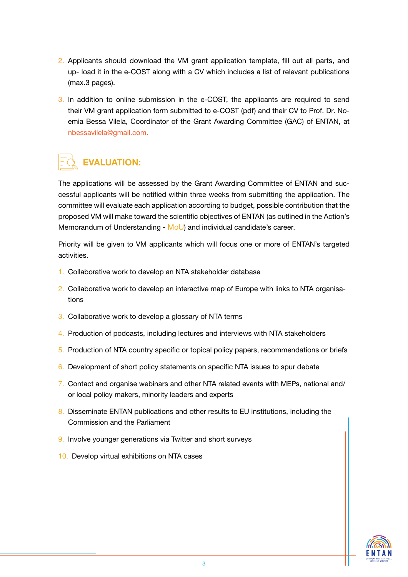- 2. Applicants should download the VM grant application template, fill out all parts, and up- load it in the e-COST along with a CV which includes a list of relevant publications (max.3 pages).
- 3. In addition to online submission in the e-COST, the applicants are required to send their VM grant application form submitted to e-COST (pdf) and their CV to Prof. Dr. Noemia Bessa Vilela, Coordinator of the Grant Awarding Committee (GAC) of ENTAN, at nbessavilela@gmail.com.

## EVALUATION:

The applications will be assessed by the Grant Awarding Committee of ENTAN and successful applicants will be notified within three weeks from submitting the application. The committee will evaluate each application according to budget, possible contribution that the proposed VM will make toward the scientific objectives of ENTAN (as outlined in the Action's Memorandum of Understanding - [MoU\)](https://www.cost.eu/actions/CA18114/) and individual candidate's career.

Priority will be given to VM applicants which will focus one or more of ENTAN's targeted activities.

- 1. Collaborative work to develop an NTA stakeholder database
- 2. Collaborative work to develop an interactive map of Europe with links to NTA organisations
- 3. Collaborative work to develop a glossary of NTA terms
- 4. Production of podcasts, including lectures and interviews with NTA stakeholders
- 5. Production of NTA country specific or topical policy papers, recommendations or briefs
- 6. Development of short policy statements on specific NTA issues to spur debate
- 7. Contact and organise webinars and other NTA related events with MEPs, national and/ or local policy makers, minority leaders and experts
- 8. Disseminate ENTAN publications and other results to EU institutions, including the Commission and the Parliament
- 9. Involve younger generations via Twitter and short surveys
- 10. Develop virtual exhibitions on NTA cases